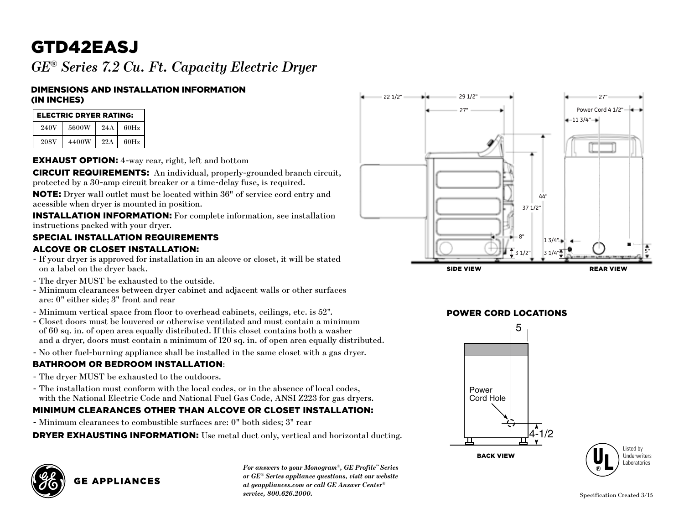# GTD42EASJ

*Ge® Series 7.2 Cu. Ft. Capacity Electric Dryer*

#### Dimensions and Installation Information (in inches)

| <b>ELECTRIC DRYER RATING:</b> |              |     |      |  |  |
|-------------------------------|--------------|-----|------|--|--|
| 240V                          | 5600W        | 24A | 60Hz |  |  |
| 208V                          | <b>4400W</b> | 22A | 60Hz |  |  |

**EXHAUST OPTION:** 4-way rear, right, left and bottom

**CIRCUIT REQUIREMENTS:** An individual, properly-grounded branch circuit, protected by a 30-amp circuit breaker or a time-delay fuse, is required.

NOTE: Dryer wall outlet must be located within 36" of service cord entry and acessible when dryer is mounted in position.

Installation Information: For complete information, see installation instructions packed with your dryer.

#### Special Installation Requirements

#### Alcove or Closet Installation:

- If your dryer is approved for installation in an alcove or closet, it will be stated on a label on the dryer back.
- The dryer MUST be exhausted to the outside.
- Minimum clearances between dryer cabinet and adjacent walls or other surfaces are: 0" either side; 3" front and rear
- Minimum vertical space from floor to overhead cabinets, ceilings, etc. is 52".
- 2 of 60 sq. in. of open area equally distributed. If this closet contains both a washer - Closet doors must be louvered or otherwise ventilated and must contain a minimum and a dryer, doors must contain a minimum of 120 sq. in. of open area equally distributed.
- No other fuel-burning appliance shall be installed in the same closet with a gas dryer.

#### Bathroom or Bedroom Installation:

- The dryer MUST be exhausted to the outdoors.
- The installation must conform with the local codes, or in the absence of local codes, with the National Electric Code and National Fuel Gas Code, ANSI Z223 for gas dryers.

### with the National Electric Code and National Puel Gas Code, AINST 2225 for gas dryers.<br>MINIMUM CLEARANCES OTHER THAN ALCOVE OR CLOSET INSTALLATION:

- Minimum clearances to combustible surfaces are: 0" both sides; 3" rear

**DRYER EXHAUSTING INFORMATION:** Use metal duct only, vertical and horizontal ducting.



**GE APPLIANCES** 

*For answers to your Monogram®, GE Profile™ Series or GE® Series appliance questions, visit our website at geappliances.com or call GE Answer Center® service, 800.626.2000.*



### POWER CORD LOCATIONS



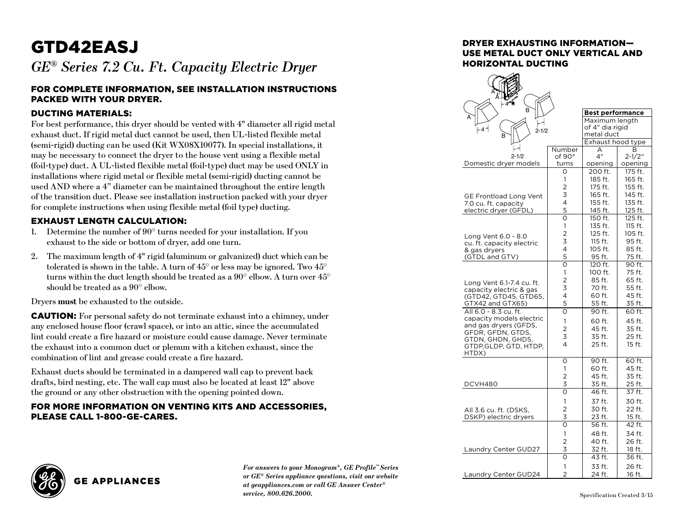## GTD42EASJ

*Ge® Series 7.2 Cu. Ft. Capacity Electric Dryer*

#### For complete information, see installation instructions packed with your dryer.

#### Ducting Materials:

For best performance, this dryer should be vented with 4" diameter all rigid metal exhaust duct. If rigid metal duct cannot be used, then UL-listed flexible metal (semi-rigid) ducting can be used (Kit WX08X10077). In special installations, it may be necessary to connect the dryer to the house vent using a flexible metal (foil-type) duct. A UL-listed flexible metal (foil-type) duct may be used ONLY in installations where rigid metal or flexible metal (semi-rigid) ducting cannot be used AND where a 4" diameter can be maintained throughout the entire length of the transition duct. Please see installation instruction packed with your dryer for complete instructions when using flexible metal (foil type) ducting.

#### Exhaust Length Calculation:

- 1. Determine the number of 90° turns needed for your installation. If you exhaust to the side or bottom of dryer, add one turn.
- 2. The maximum length of 4" rigid (aluminum or galvanized) duct which can be tolerated is shown in the table. A turn of 45° or less may be ignored. Two 45° turns within the duct length should be treated as a 90° elbow. A turn over 45° should be treated as a 90° elbow.

Dryers **must** be exhausted to the outside.

**GE APPLIANCES** 

**CAUTION:** For personal safety do not terminate exhaust into a chimney, under any enclosed house floor (crawl space), or into an attic, since the accumulated lint could create a fire hazard or moisture could cause damage. Never terminate the exhaust into a common duct or plenum with a kitchen exhaust, since the combination of lint and grease could create a fire hazard.

Exhaust ducts should be terminated in a dampered wall cap to prevent back drafts, bird nesting, etc. The wall cap must also be located at least 12" above the ground or any other obstruction with the opening pointed down.

#### For more information on venting kits and accessories, please call 1-800-GE-CARES.



*For answers to your Monogram®, GE Profile™ Series or GE® Series appliance questions, visit our website at geappliances.com or call GE Answer Center® service, 800.626.2000.*

#### Dryer exhausting information use metal duct only vertical and horizontal ducting

|                                                      | <b>Best performance</b> |                    |                    |  |
|------------------------------------------------------|-------------------------|--------------------|--------------------|--|
|                                                      |                         | Maximum length     |                    |  |
| $-4-$<br>$2 - 1/2$                                   | of 4" dia rigid         |                    |                    |  |
|                                                      |                         | metal duct         | Exhaust hood type  |  |
|                                                      | Number                  | A                  | В                  |  |
| $2 - 1/2$                                            | of 90°                  | 4"                 | $2 - 1/2"$         |  |
| Domestic dryer models                                | turns                   | opening            | opening            |  |
|                                                      | O                       | 200 ft.            | 175 ft.            |  |
|                                                      | 1                       | 185 ft.            | 165 ft.            |  |
|                                                      | $\overline{2}$          | 175 ft.            | 155 ft.            |  |
| <b>GE Frontload Long Vent</b>                        | 3                       | 165 ft.            | 145 ft.            |  |
| 7.0 cu. ft. capacity                                 | 4                       | 155 ft.            | 135 ft.            |  |
| electric dryer (GFDL)                                | 5                       | 145 ft.            | 125 ft.            |  |
|                                                      | O                       | 150 ft.            | $125$ ft.          |  |
|                                                      | 1                       | 135 ft.<br>125 ft. | 115 ft.<br>105 ft. |  |
| Long Vent 6.0 - 8.0                                  | 2<br>3                  | 115 ft.            | 95 ft.             |  |
| cu. ft. capacity electric                            | 4                       | 105 ft.            | 85 ft.             |  |
| & gas dryers<br>(GTDL and GTV)                       | 5                       | 95 ft.             | 75 ft.             |  |
|                                                      | $\overline{\mathsf{o}}$ | 120 ft.            | 90 ft.             |  |
|                                                      | 1                       | 100 ft.            | 75 ft.             |  |
|                                                      | $\overline{2}$          | 85 ft.             | 65 ft.             |  |
| Long Vent 6.1-7.4 cu. ft.<br>capacity electric & gas | 3                       | 70 ft.             | 55 ft.             |  |
| (GTD42, GTD45, GTD65,                                | 4                       | 60 ft.             | 45 ft.             |  |
| GTX42 and GTX65)                                     | 5                       | 55 ft.             | 35 ft.             |  |
| All 6.0 - 8.3 cu. ft.                                | $\overline{O}$          | 90 ft.             | 60 ft.             |  |
| capacity models electric                             | 1                       | 60 ft.             | 45 ft.             |  |
| and gas dryers (GFDS,                                | $\overline{2}$          | 45 ft.             | 35 ft.             |  |
| GFDR, GFDN, GTDS,                                    | 3                       | 35 ft.             | 25 ft.             |  |
| GTDN, GHDN, GHDS,<br>GTDP,GLDP, GTD, HTDP,           | 4                       | 25 ft.             | 15 ft.             |  |
| HTDX)                                                |                         |                    |                    |  |
|                                                      | O                       | 90 ft.             | 60 ft.             |  |
|                                                      | 1                       | 60 ft.             | 45 ft.             |  |
|                                                      | $\overline{2}$          | 45 ft.             | 35 ft.             |  |
| DCVH480                                              | 3                       | 35 ft.             | 25 ft.             |  |
|                                                      | O                       | 46 ft.             | 37 ft.             |  |
|                                                      | 1                       | 37 ft.             | 30 ft.             |  |
| All 3.6 cu. ft. (DSKS,                               | $\overline{2}$          | 30 ft.             | 22 ft.             |  |
| DSKP) electric dryers                                | 3                       | 23 ft.             | 15 ft.             |  |
|                                                      | O                       | 56 ft.             | 42 ft.             |  |
|                                                      | 1                       | 48 ft.             | 34 ft.             |  |
|                                                      | $\overline{2}$          | 40 ft.             | 26 ft.             |  |
| Laundry Center GUD27                                 | 3                       | 32 ft.             | 18 ft.             |  |
|                                                      | Ō                       | 43 ft.             | 36 ft.             |  |
|                                                      | 1                       | 33 ft.             | 26 ft.             |  |
| Laundry Center GUD24                                 | $\overline{2}$          | 24 ft.             | 16 ft.             |  |